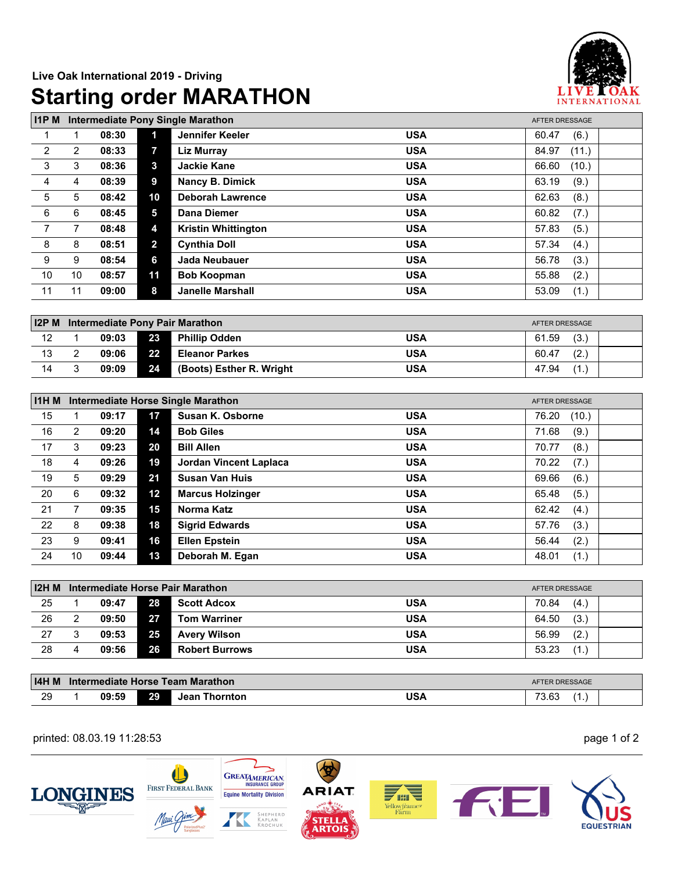

| <b>I1PM</b>    |                |       |                | <b>Intermediate Pony Single Marathon</b> |            | AFTER DRESSAGE |  |  |
|----------------|----------------|-------|----------------|------------------------------------------|------------|----------------|--|--|
|                |                | 08:30 | 1              | Jennifer Keeler                          | <b>USA</b> | (6.)<br>60.47  |  |  |
| 2              | $\overline{2}$ | 08:33 | 7              | <b>Liz Murray</b>                        | <b>USA</b> | 84.97<br>(11.) |  |  |
| 3              | 3              | 08:36 | $\mathbf{3}$   | <b>Jackie Kane</b>                       | <b>USA</b> | (10.)<br>66.60 |  |  |
| 4              | 4              | 08:39 | 9              | <b>Nancy B. Dimick</b>                   | <b>USA</b> | 63.19<br>(9.)  |  |  |
| $\sqrt{5}$     | 5              | 08:42 | 10             | <b>Deborah Lawrence</b>                  | <b>USA</b> | 62.63<br>(8.)  |  |  |
| $\,6\,$        | 6              | 08:45 | 5              | <b>Dana Diemer</b>                       | <b>USA</b> | 60.82<br>(7.)  |  |  |
| $\overline{7}$ | 7              | 08:48 | 4              | <b>Kristin Whittington</b>               | <b>USA</b> | 57.83<br>(5.)  |  |  |
| 8              | 8              | 08:51 | $\overline{2}$ | <b>Cynthia Doll</b>                      | <b>USA</b> | (4.)<br>57.34  |  |  |
| 9              | 9              | 08:54 | 6              | <b>Jada Neubauer</b>                     | <b>USA</b> | 56.78<br>(3.)  |  |  |
| 10             | 10             | 08:57 | 11             | <b>Bob Koopman</b>                       | <b>USA</b> | 55.88<br>(2.)  |  |  |
| 11             | 11             | 09:00 | 8              | <b>Janelle Marshall</b>                  | <b>USA</b> | 53.09<br>(1.)  |  |  |
|                |                |       |                |                                          |            |                |  |  |
| $12P$ M        |                |       |                | <b>Intermediate Pony Pair Marathon</b>   |            | AFTER DRESSAGE |  |  |
| 12             |                | 09:03 | 23             | <b>Phillip Odden</b>                     | <b>USA</b> | (3.)<br>61.59  |  |  |
| 13             | 2              | 09:06 | 22             | <b>Eleanor Parkes</b>                    | <b>USA</b> | (2.)<br>60.47  |  |  |
| 14             | 3              | 09:09 | 24             | (Boots) Esther R. Wright                 | <b>USA</b> | 47.94<br>(1.)  |  |  |

| <b>I1HM</b> | Intermediate Horse Single Marathon<br>AFTER DRESSAGE |       |    |                         |            |                |  |  |  |
|-------------|------------------------------------------------------|-------|----|-------------------------|------------|----------------|--|--|--|
| 15          |                                                      | 09:17 | 17 | Susan K. Osborne        | <b>USA</b> | (10.)<br>76.20 |  |  |  |
| 16          | $\overline{2}$                                       | 09:20 | 14 | <b>Bob Giles</b>        | <b>USA</b> | (9.)<br>71.68  |  |  |  |
| 17          | 3                                                    | 09:23 | 20 | <b>Bill Allen</b>       | <b>USA</b> | (8.)<br>70.77  |  |  |  |
| 18          | 4                                                    | 09:26 | 19 | Jordan Vincent Laplaca  | <b>USA</b> | (7.)<br>70.22  |  |  |  |
| 19          | 5                                                    | 09:29 | 21 | <b>Susan Van Huis</b>   | <b>USA</b> | (6.)<br>69.66  |  |  |  |
| 20          | 6                                                    | 09:32 | 12 | <b>Marcus Holzinger</b> | <b>USA</b> | (5.)<br>65.48  |  |  |  |
| 21          |                                                      | 09:35 | 15 | Norma Katz              | <b>USA</b> | (4.)<br>62.42  |  |  |  |
| 22          | 8                                                    | 09:38 | 18 | <b>Sigrid Edwards</b>   | <b>USA</b> | (3.)<br>57.76  |  |  |  |
| 23          | 9                                                    | 09:41 | 16 | <b>Ellen Epstein</b>    | <b>USA</b> | (2.)<br>56.44  |  |  |  |
| 24          | 10                                                   | 09:44 | 13 | Deborah M. Egan         | <b>USA</b> | 48.01<br>(1.)  |  |  |  |

| 12H M | Intermediate Horse Pair Marathon<br>AFTER DRESSAGE |       |    |                       |            |                   |  |  |
|-------|----------------------------------------------------|-------|----|-----------------------|------------|-------------------|--|--|
| 25    |                                                    | 09:47 | 28 | <b>Scott Adcox</b>    | <b>USA</b> | (4.)<br>70.84     |  |  |
| 26    |                                                    | 09:50 | 27 | <b>Tom Warriner</b>   | <b>USA</b> | (3)<br>64.50      |  |  |
| 27    | 3                                                  | 09:53 | 25 | <b>Avery Wilson</b>   | <b>USA</b> | (2.<br>56.99      |  |  |
| 28    |                                                    | 09:56 | 26 | <b>Robert Burrows</b> | <b>USA</b> | $'1_{1}$<br>53.23 |  |  |

| <b>I4H M</b> | Intermediate Horse Team Marathon<br><b>AFTER DRESSAGE</b> |       |    |                         |            |                                            |  |
|--------------|-----------------------------------------------------------|-------|----|-------------------------|------------|--------------------------------------------|--|
| 29           |                                                           | 09:59 | 29 | <b>Thornton</b><br>Jean | <b>USA</b> | $\sim$<br>$\overline{\phantom{a}}$<br>ບ.ບບ |  |

printed: 08.03.19 11:28:53 page 1 of 2